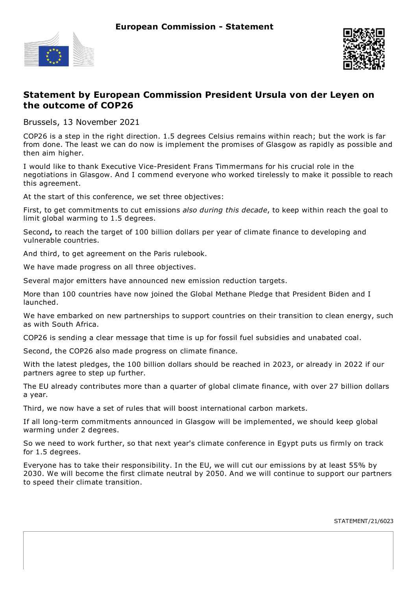



## **Statement by European Commission President Ursula von der Leyen on the outcome of COP26**

Brussels, 13 November 2021

COP26 is a step in the right direction. 1.5 degrees Celsius remains within reach; but the work is far from done. The least we can do now is implement the promises of Glasgow as rapidly as possible and then aim higher.

I would like to thank Executive Vice-President Frans Timmermans for his crucial role in the negotiations in Glasgow. And I commend everyone who worked tirelessly to make it possible to reach this agreement.

At the start of this conference, we set three objectives:

First, to get commitments to cut emissions *also during this decade*, to keep within reach the goal to limit global warming to 1.5 degrees.

Second**,** to reach the target of 100 billion dollars per year of climate finance to developing and vulnerable countries.

And third, to get agreement on the Paris rulebook.

We have made progress on all three objectives.

Several major emitters have announced new emission reduction targets.

More than 100 countries have now joined the Global Methane Pledge that President Biden and I launched.

We have embarked on new partnerships to support countries on their transition to clean energy, such as with South Africa.

COP26 is sending a clear message that time is up for fossil fuel subsidies and unabated coal.

Second, the COP26 also made progress on climate finance.

With the latest pledges, the 100 billion dollars should be reached in 2023, or already in 2022 if our partners agree to step up further.

The EU already contributes more than a quarter of global climate finance, with over 27 billion dollars a year.

Third, we now have a set of rules that will boost international carbon markets.

If all long-term commitments announced in Glasgow will be implemented, we should keep global warming under 2 degrees.

So we need to work further, so that next year's climate conference in Egypt puts us firmly on track for 1.5 degrees.

Everyone has to take their responsibility. In the EU, we will cut our emissions by at least 55% by 2030. We will become the first climate neutral by 2050. And we will continue to support our partners to speed their climate transition.

STATEMENT/21/6023